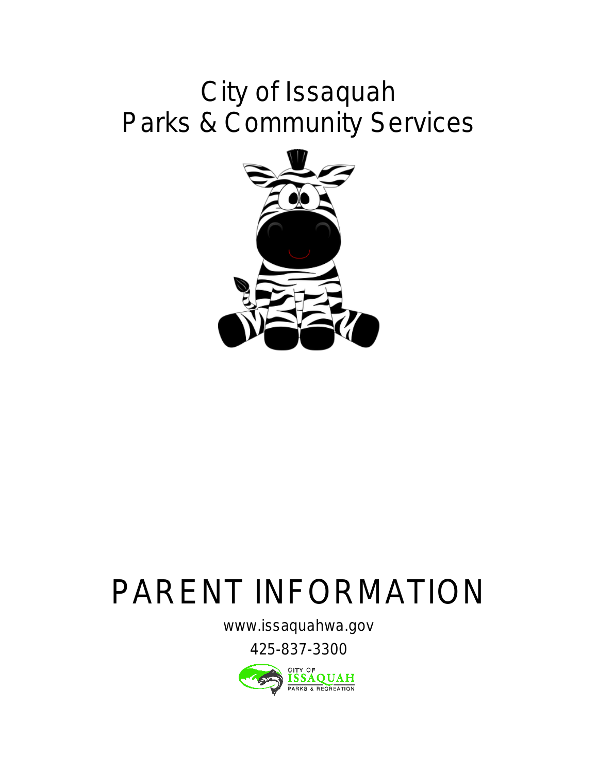## City of Issaquah Parks & Community Services



# PARENT INFORMATION

[www.issaquahwa.gov](http://www.issaquahwa.gov)

425-837-3300

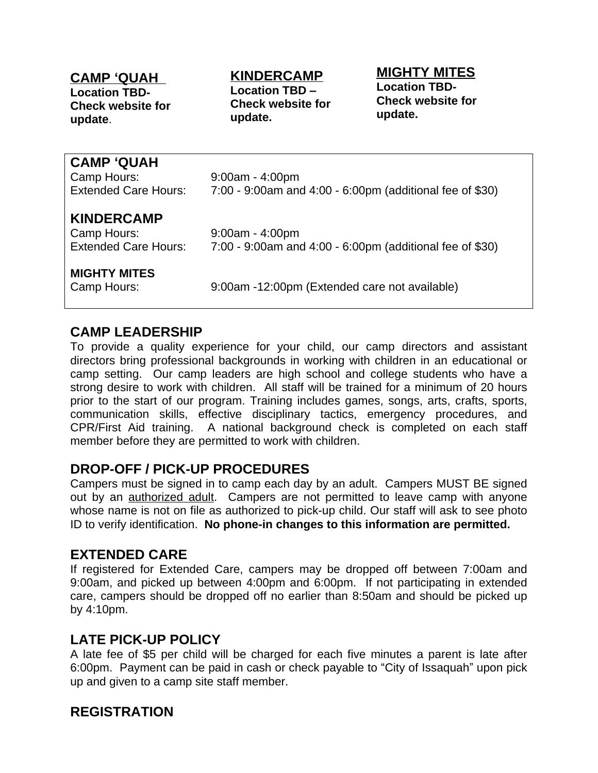#### **CAMP 'QUAH**

**Location TBD-Check website for update**.

### **KINDERCAMP**

**Location TBD – Check website for update.**

**MIGHTY MITES Location TBD-Check website for update.** 

| <b>CAMP 'QUAH</b><br>Camp Hours:<br><b>Extended Care Hours:</b> | $9:00am - 4:00pm$<br>7:00 - 9:00am and 4:00 - 6:00pm (additional fee of \$30) |
|-----------------------------------------------------------------|-------------------------------------------------------------------------------|
| <b>KINDERCAMP</b><br>Camp Hours:<br><b>Extended Care Hours:</b> | $9:00am - 4:00pm$<br>7:00 - 9:00am and 4:00 - 6:00pm (additional fee of \$30) |
| <b>MIGHTY MITES</b><br>Camp Hours:                              | 9:00am -12:00pm (Extended care not available)                                 |

#### **CAMP LEADERSHIP**

To provide a quality experience for your child, our camp directors and assistant directors bring professional backgrounds in working with children in an educational or camp setting. Our camp leaders are high school and college students who have a strong desire to work with children. All staff will be trained for a minimum of 20 hours

out by an authorized adult. Campers are not permitted to leave camp with anyone whose name is not on file as authorized to pick-up child. Our staff will ask to see photo ID to verify identification. **No phone-in changes to this information are permitted.**

#### **EXTENDED CARE**

If registered for Extended Care, campers may be dropped off between 7:00am and 9:00am, and picked up between 4:00pm and 6:00pm. If not participating in extended care, campers should be dropped off no earlier than 8:50am and should be picked up by 4:10pm.

#### **LATE PICK-UP POLICY**

A late fee of \$5 per child will be charged for each five minutes a parent is late after 6:00pm. Payment can be paid in cash or check payable to "City of Issaquah" upon pick up and given to a camp site staff member.

#### **REGISTRATION**

prior to the start of our program. Training includes games, songs, arts, crafts, sports, communication skills, effective disciplinary tactics, emergency procedures, and CPR/First Aid training. A national background check is completed on each staff member before they are permitted to work with children. **DROP-OFF / PICK-UP PROCEDURES** Campers must be signed in to camp each day by an adult. Campers MUST BE signed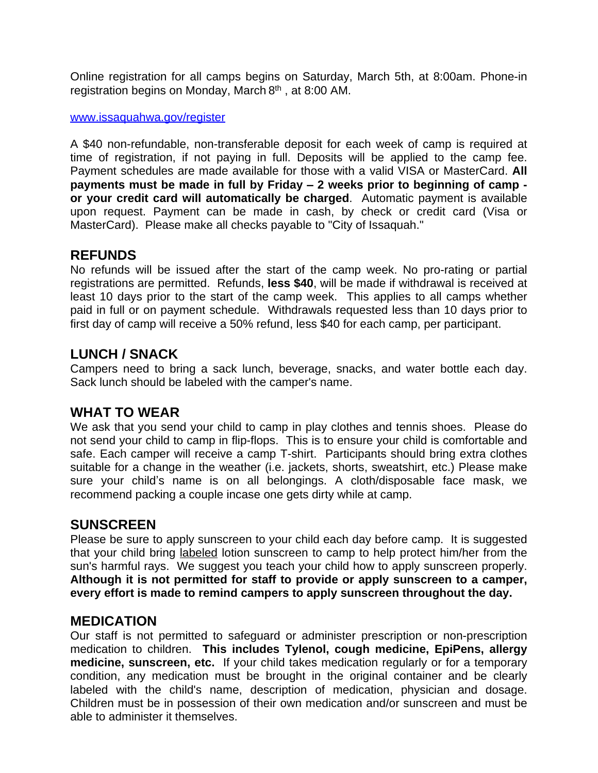Online registration for all camps begins on Saturday, March 5th, at 8:00am. Phone-in registration begins on Monday, March 8<sup>th</sup>, at 8:00 AM.

#### [www.issaquahwa.gov/register](http://www.issaquahwa.gov/register)

A [\\$4](http://www.issaquahwa.gov/register)0 [non-refundable,](http://www.issaquahwa.gov/register) non-transferable deposit for each week of camp is [required](http://www.issaquahwa.gov/register) at time of [registration,](http://www.issaquahwa.gov/register) if not [paying](http://www.issaquahwa.gov/register) in full. Deposits will be [applied](http://www.issaquahwa.gov/register) to the camp fee. Payment [schedules](http://www.issaquahwa.gov/register) are made available for those with a valid VISA or [MasterCard.](http://www.issaquahwa.gov/register) **[All](http://www.issaquahwa.gov/register) [paym](http://www.issaquahwa.gov/register)ents must be [made](http://www.issaquahwa.gov/register) in full by Friday – 2 weeks prior to [beginning](http://www.issaquahwa.gov/register) of camp  or your credit card will [automatically](http://www.issaquahwa.gov/register) be charged**[.](http://www.issaquahwa.gov/register) [A](http://www.issaquahwa.gov/register)utomatic payment is [available](http://www.issaquahwa.gov/register) upon [request.](http://www.issaquahwa.gov/register) [Payment](http://www.issaquahwa.gov/register) can be made in cash, by check or credit card (Visa or [MasterCard\). Please make all checks payable to "City of Issaquah."](http://www.issaquahwa.gov/register)

#### **[REFUNDS](http://www.issaquahwa.gov/register)**

No [refunds](http://www.issaquahwa.gov/register) will be issued after the start of the camp [week.](http://www.issaquahwa.gov/register) [No](http://www.issaquahwa.gov/register) [pro-rating](http://www.issaquahwa.gov/register) or partial [registrations](http://www.issaquahwa.gov/register) are permitted. Refund[s,](http://www.issaquahwa.gov/register) **[less](http://www.issaquahwa.gov/register) \$40**[,](http://www.issaquahwa.gov/register) will be made if [withdrawal](http://www.issaquahwa.gov/register) is received at [leas](http://www.issaquahwa.gov/register)t 10 [days](http://www.issaquahwa.gov/register) [prio](http://www.issaquahwa.gov/register)r to the [start](http://www.issaquahwa.gov/register) of [the](http://www.issaquahwa.gov/register) [camp](http://www.issaquahwa.gov/register) [week.](http://www.issaquahwa.gov/register) This applies to all camps [whether](http://www.issaquahwa.gov/register) [paid](http://www.issaquahwa.gov/register) in [full](http://www.issaquahwa.gov/register) or on payment [schedule.](http://www.issaquahwa.gov/register) [Withdrawals](http://www.issaquahwa.gov/register) requested less than 10 [days](http://www.issaquahwa.gov/register) prior to [first day of camp will receive a 50% refund, less \\$40 for each camp, per participant.](http://www.issaquahwa.gov/register)

#### **[LUNCH / SNACK](http://www.issaquahwa.gov/register)**

[Campers](http://www.issaquahwa.gov/register) [need](http://www.issaquahwa.gov/register) to bring a sack lunch, [beverage,](http://www.issaquahwa.gov/register) [snacks,](http://www.issaquahwa.gov/register) and water [bottle](http://www.issaquahwa.gov/register) each day. [Sack lunch should be labeled with the camper's name.](http://www.issaquahwa.gov/register)

#### **[WHAT TO WEAR](http://www.issaquahwa.gov/register)**

We ask that you send your child to [camp](http://www.issaquahwa.gov/register) in play [clothes](http://www.issaquahwa.gov/register) and tennis [shoes.](http://www.issaquahwa.gov/register) [Please](http://www.issaquahwa.gov/register) do [not](http://www.issaquahwa.gov/register) send [your](http://www.issaquahwa.gov/register) [child](http://www.issaquahwa.gov/register) [t](http://www.issaquahwa.gov/register)o camp in [flip-flops.](http://www.issaquahwa.gov/register) This is to ensure your child is [comfortable](http://www.issaquahwa.gov/register) and [safe.](http://www.issaquahwa.gov/register) Each [camper](http://www.issaquahwa.gov/register) will receive a camp T-shir[t.](http://www.issaquahwa.gov/register) [Participants](http://www.issaquahwa.gov/register) should bring extra [clothes](http://www.issaquahwa.gov/register) suitable for a change in the weather (i.e. jackets, shorts, [sweatshirt,](http://www.issaquahwa.gov/register) etc.) [Pleas](http://www.issaquahwa.gov/register)e [make](http://www.issaquahwa.gov/register) sure your child's [name](http://www.issaquahwa.gov/register) is [on](http://www.issaquahwa.gov/register) all [belongings.](http://www.issaquahwa.gov/register) A [cloth/disposable](http://www.issaquahwa.gov/register) face mask, [we](http://www.issaquahwa.gov/register) [recommend](http://www.issaquahwa.gov/register) [packing a couple](http://www.issaquahwa.gov/register) [incase one gets dirty while at camp.](http://www.issaquahwa.gov/register)

#### **[SUNSCREEN](http://www.issaquahwa.gov/register)**

Please be sure to apply [sunscreen](http://www.issaquahwa.gov/register) to your child each day before cam[p.](http://www.issaquahwa.gov/register) It is [suggested](http://www.issaquahwa.gov/register) [that](http://www.issaquahwa.gov/register) your child [bring](http://www.issaquahwa.gov/register) [labeled](http://www.issaquahwa.gov/register) [lotion](http://www.issaquahwa.gov/register) [sunscreen](http://www.issaquahwa.gov/register) to camp to help protect [him/her](http://www.issaquahwa.gov/register) from the sun's [harmful](http://www.issaquahwa.gov/register) rays. We [suggest](http://www.issaquahwa.gov/register) you teach [yo](http://www.issaquahwa.gov/register)ur child how to apply [sunscreen](http://www.issaquahwa.gov/register) properly. **[Although](http://www.issaquahwa.gov/register) [it](http://www.issaquahwa.gov/register) is not [permitted](http://www.issaquahwa.gov/register) for [staff](http://www.issaquahwa.gov/register) to [provide](http://www.issaquahwa.gov/register) or [apply](http://www.issaquahwa.gov/register) [sunscreen](http://www.issaquahwa.gov/register) to a [camper,](http://www.issaquahwa.gov/register) [every effort is made to remind campers to apply sunscreen throughout](http://www.issaquahwa.gov/register) [the day.](http://www.issaquahwa.gov/register)**

#### **[MEDICATION](http://www.issaquahwa.gov/register)**

Our staff is not [permitted](http://www.issaquahwa.gov/register) to [safeguard](http://www.issaquahwa.gov/register) or administer prescription or [non-prescription](http://www.issaquahwa.gov/register) [medication](http://www.issaquahwa.gov/register) to children. **This [includes](http://www.issaquahwa.gov/register) Tyle[nol,](http://www.issaquahwa.gov/register) cough [medicine,](http://www.issaquahwa.gov/register) EpiPens, allergy [medi](http://www.issaquahwa.gov/register)cine, [sunscreen,](http://www.issaquahwa.gov/register) etc.** If your child takes [medication](http://www.issaquahwa.gov/register) reg[ul](http://www.issaquahwa.gov/register)arly or for a [temporary](http://www.issaquahwa.gov/register) condition, any [medication](http://www.issaquahwa.gov/register) must be brought in the original container and be clearly [labeled](http://www.issaquahwa.gov/register) with [the](http://www.issaquahwa.gov/register) [child's](http://www.issaquahwa.gov/register) name[,](http://www.issaquahwa.gov/register) [description](http://www.issaquahwa.gov/register) of me[dicat](http://www.issaquahwa.gov/register)ion, [physician](http://www.issaquahwa.gov/register) and dosage. [Children](http://www.issaquahwa.gov/register) must be in [possession](http://www.issaquahwa.gov/register) of their own medication and/or [sunscreen](http://www.issaquahwa.gov/register) and [must](http://www.issaquahwa.gov/register) be [able to administer it themselves.](http://www.issaquahwa.gov/register)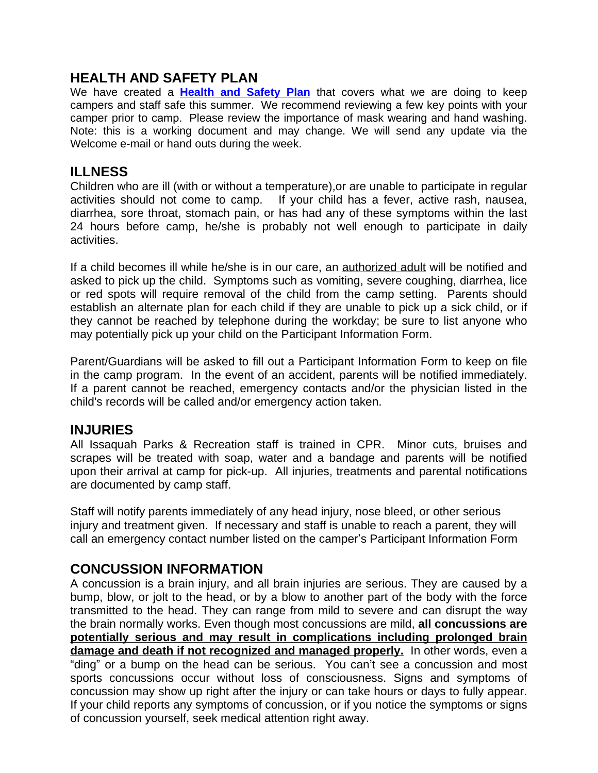#### **HEALTH AND SAFETY PLAN**

We have created a **[Health and Safety Plan](For%20Parents%20-%20Camp%20Health%20&%20Safety%20.pdf)** that covers what we are doing to keep campers and staff safe this summer. We recommend reviewing a few key points with your camper prior to camp. Please review the importance of mask wearing and hand washing. Note: this is a working document and may change. We will send any update via the Welcome e-mail or hand outs during the week.

#### **ILLNESS**

Children who are ill (with or without a temperature),or are unable to participate in regular activities should not come to camp. If your child has a fever, active rash, nausea, diarrhea, sore throat, stomach pain, or has had any of these symptoms within the last 24 hours before camp, he/she is probably not well enough to participate in daily activities.

If a child becomes ill while he/she is in our care, an authorized adult will be notified and asked to pick up the child. Symptoms such as vomiting, severe coughing, diarrhea, lice or red spots will require removal of the child from the camp setting. Parents should establish an alternate plan for each child if they are unable to pick up a sick child, or if they cannot be reached by telephone during the workday; be sure to list anyone who may potentially pick up your child on the Participant Information Form.

Parent/Guardians will be asked to fill out a Participant Information Form to keep on file in the camp program. In the event of an accident, parents will be notified immediately. If a parent cannot be reached, emergency contacts and/or the physician listed in the child's records will be called and/or emergency action taken.

#### **INJURIES**

All Issaquah Parks & Recreation staff is trained in CPR. Minor cuts, bruises and scrapes will be treated with soap, water and a bandage and parents will be notified upon their arrival at camp for pick-up. All injuries, treatments and parental notifications are documented by camp staff.

Staff will notify parents immediately of any head injury, nose bleed, or other serious injury and treatment given. If necessary and staff is unable to reach a parent, they will call an emergency contact number listed on the camper's Participant Information Form

#### **CONCUSSION INFORMATION**

A concussion is a brain injury, and all brain injuries are serious. They are caused by a bump, blow, or jolt to the head, or by a blow to another part of the body with the force transmitted to the head. They can range from mild to severe and can disrupt the way the brain normally works. Even though most concussions are mild, **all concussions are potentially serious and may result in complications including prolonged brain damage and death if not recognized and managed properly.** In other words, even a "ding" or a bump on the head can be serious. You can't see a concussion and most sports concussions occur without loss of consciousness. Signs and symptoms of concussion may show up right after the injury or can take hours or days to fully appear. If your child reports any symptoms of concussion, or if you notice the symptoms or signs of concussion yourself, seek medical attention right away.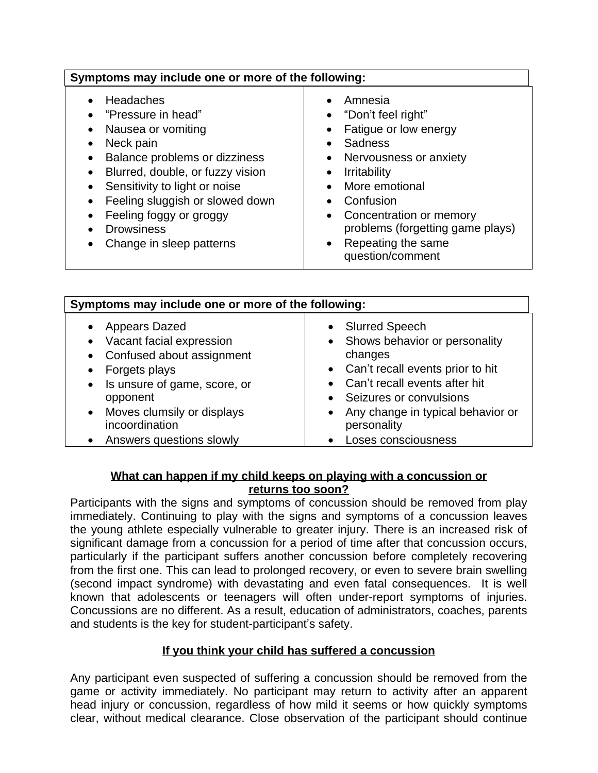| Symptoms may include one or more of the following:                                                                                                                                                                                                                                                  |                                                                                                                                                                                                                                                                                |  |
|-----------------------------------------------------------------------------------------------------------------------------------------------------------------------------------------------------------------------------------------------------------------------------------------------------|--------------------------------------------------------------------------------------------------------------------------------------------------------------------------------------------------------------------------------------------------------------------------------|--|
| <b>Headaches</b><br>"Pressure in head"<br>Nausea or vomiting<br>Neck pain<br>٠<br>Balance problems or dizziness<br>Blurred, double, or fuzzy vision<br>Sensitivity to light or noise<br>Feeling sluggish or slowed down<br>Feeling foggy or groggy<br><b>Drowsiness</b><br>Change in sleep patterns | Amnesia<br>"Don't feel right"<br>Fatigue or low energy<br><b>Sadness</b><br>Nervousness or anxiety<br><b>Irritability</b><br>More emotional<br>Confusion<br>Concentration or memory<br>problems (forgetting game plays)<br>Repeating the same<br>$\bullet$<br>question/comment |  |

| Symptoms may include one or more of the following:                                                                                                                                                                                               |                                                                                                                                                                                                                                                                                                                   |  |
|--------------------------------------------------------------------------------------------------------------------------------------------------------------------------------------------------------------------------------------------------|-------------------------------------------------------------------------------------------------------------------------------------------------------------------------------------------------------------------------------------------------------------------------------------------------------------------|--|
| <b>Appears Dazed</b><br>Vacant facial expression<br>Confused about assignment<br>$\bullet$<br>Forgets plays<br>Is unsure of game, score, or<br>$\bullet$<br>opponent<br>Moves clumsily or displays<br>incoordination<br>Answers questions slowly | <b>Slurred Speech</b><br>$\bullet$<br>Shows behavior or personality<br>$\bullet$<br>changes<br>• Can't recall events prior to hit<br>Can't recall events after hit<br>$\bullet$<br>• Seizures or convulsions<br>Any change in typical behavior or<br>$\bullet$<br>personality<br>Loses consciousness<br>$\bullet$ |  |

#### **What can happen if my child keeps on playing with a concussion or returns too soon?**

Participants with the signs and symptoms of concussion should be removed from play immediately. Continuing to play with the signs and symptoms of a concussion leaves the young athlete especially vulnerable to greater injury. There is an increased risk of significant damage from a concussion for a period of time after that concussion occurs, particularly if the participant suffers another concussion before completely recovering from the first one. This can lead to prolonged recovery, or even to severe brain swelling (second impact syndrome) with devastating and even fatal consequences. It is well known that adolescents or teenagers will often under-report symptoms of injuries. Concussions are no different. As a result, education of administrators, coaches, parents and students is the key for student-participant's safety.

#### **If you think your child has suffered a concussion**

Any participant even suspected of suffering a concussion should be removed from the game or activity immediately. No participant may return to activity after an apparent head injury or concussion, regardless of how mild it seems or how quickly symptoms clear, without medical clearance. Close observation of the participant should continue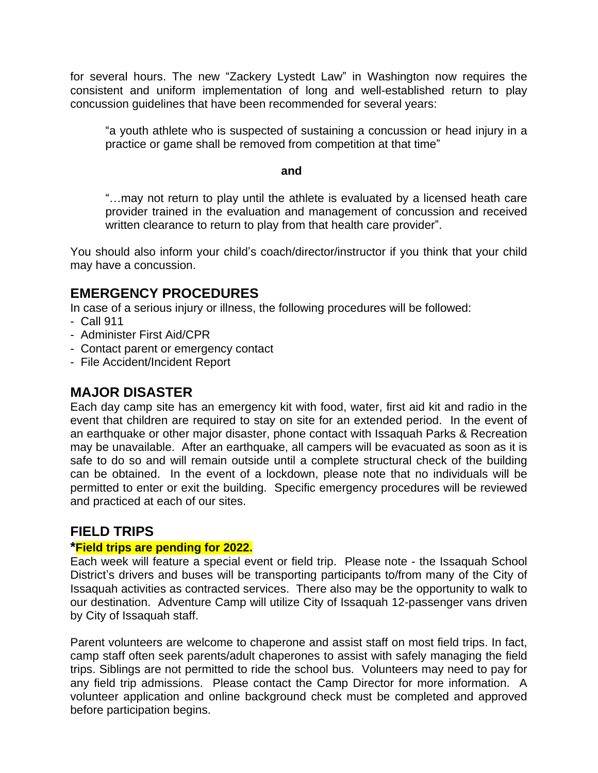for several hours. The new "Zackery Lystedt Law" in Washington now requires the consistent and uniform implementation of long and well-established return to play concussion guidelines that have been recommended for several years:

"a youth athlete who is suspected of sustaining a concussion or head injury in a practice or game shall be removed from competition at that time"

#### **and**

"…may not return to play until the athlete is evaluated by a licensed heath care provider trained in the evaluation and management of concussion and received written clearance to return to play from that health care provider".

You should also inform your child's coach/director/instructor if you think that your child may have a concussion.

#### **EMERGENCY PROCEDURES**

In case of a serious injury or illness, the following procedures will be followed:

- Call 911
- Administer First Aid/CPR
- Contact parent or emergency contact
- File Accident/Incident Report

#### **MAJOR DISASTER**

Each day camp site has an emergency kit with food, water, first aid kit and radio in the event that children are required to stay on site for an extended period. In the event of an earthquake or other major disaster, phone contact with Issaquah Parks & Recreation may be unavailable. After an earthquake, all campers will be evacuated as soon as it is safe to do so and will remain outside until a complete structural check of the building can be obtained. In the event of a lockdown, please note that no individuals will be permitted to enter or exit the building. Specific emergency procedures will be reviewed and practiced at each of our sites.

#### **FIELD TRIPS**

#### **\*Field trips are pending for 2022.**

Each week will feature a special event or field trip. Please note - the Issaquah School District's drivers and buses will be transporting participants to/from many of the City of Issaquah activities as contracted services. There also may be the opportunity to walk to our destination. Adventure Camp will utilize City of Issaquah 12-passenger vans driven by City of Issaquah staff.

Parent volunteers are welcome to chaperone and assist staff on most field trips. In fact, camp staff often seek parents/adult chaperones to assist with safely managing the field trips. Siblings are not permitted to ride the school bus. Volunteers may need to pay for any field trip admissions. Please contact the Camp Director for more information. A volunteer application and online background check must be completed and approved before participation begins.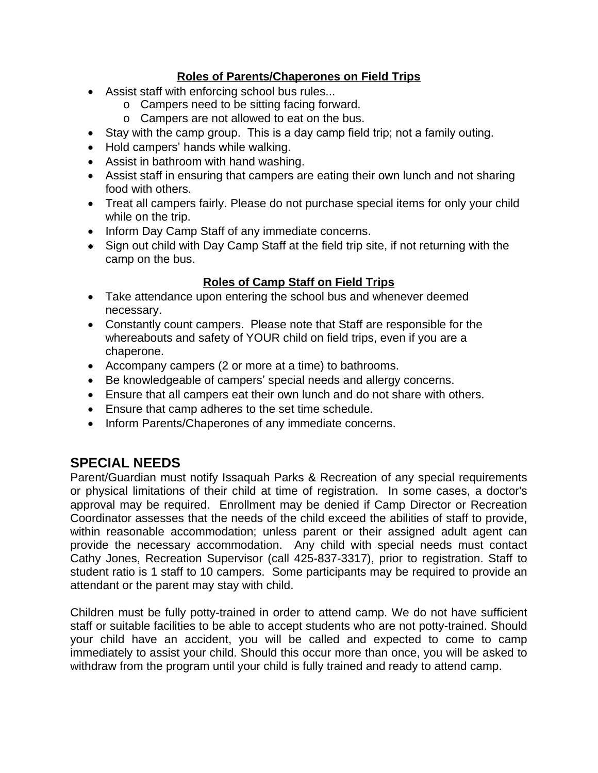#### **Roles of Parents/Chaperones on Field Trips**

- Assist staff with enforcing school bus rules...
	- o Campers need to be sitting facing forward.
	- o Campers are not allowed to eat on the bus.
- Stay with the camp group. This is a day camp field trip; not a family outing.
- Hold campers' hands while walking.
- Assist in bathroom with hand washing.
- Assist staff in ensuring that campers are eating their own lunch and not sharing food with others.
- Treat all campers fairly. Please do not purchase special items for only your child while on the trip.
- Inform Day Camp Staff of any immediate concerns.
- Sign out child with Day Camp Staff at the field trip site, if not returning with the camp on the bus.

#### **Roles of Camp Staff on Field Trips**

- Take attendance upon entering the school bus and whenever deemed necessary.
- Constantly count campers. Please note that Staff are responsible for the whereabouts and safety of YOUR child on field trips, even if you are a chaperone.
- Accompany campers (2 or more at a time) to bathrooms.
- Be knowledgeable of campers' special needs and allergy concerns.
- Ensure that all campers eat their own lunch and do not share with others.
- Ensure that camp adheres to the set time schedule.
- Inform Parents/Chaperones of any immediate concerns.

#### **SPECIAL NEEDS**

Parent/Guardian must notify Issaquah Parks & Recreation of any special requirements or physical limitations of their child at time of registration. In some cases, a doctor's approval may be required. Enrollment may be denied if Camp Director or Recreation Coordinator assesses that the needs of the child exceed the abilities of staff to provide, within reasonable accommodation; unless parent or their assigned adult agent can provide the necessary accommodation. Any child with special needs must contact Cathy Jones, Recreation Supervisor (call 425-837-3317), prior to registration. Staff to student ratio is 1 staff to 10 campers. Some participants may be required to provide an attendant or the parent may stay with child.

Children must be fully potty-trained in order to attend camp. We do not have sufficient staff or suitable facilities to be able to accept students who are not potty-trained. Should your child have an accident, you will be called and expected to come to camp immediately to assist your child. Should this occur more than once, you will be asked to withdraw from the program until your child is fully trained and ready to attend camp.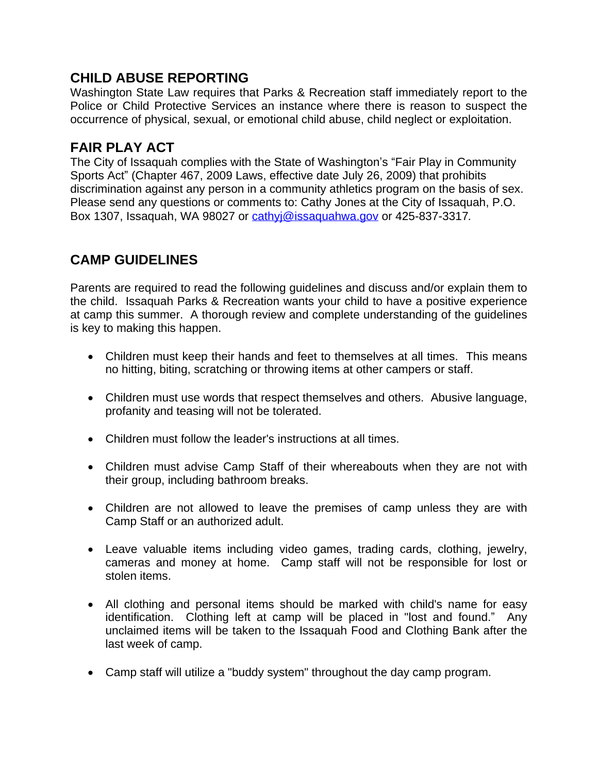#### **CHILD ABUSE REPORTING**

Washington State Law requires that Parks & Recreation staff immediately report to the Police or Child Protective Services an instance where there is reason to suspect the occurrence of physical, sexual, or emotional child abuse, child neglect or exploitation.

#### **FAIR PLAY ACT**

The City of Issaquah complies with the State of Washington's "Fair Play in Community Sports Act" (Chapter 467, 2009 Laws, effective date July 26, 2009) that prohibits discrimination against any person in a community athletics program on the basis of sex. Please send any questions or comments to: Cathy Jones at the City of Issaquah, P.O. Box 1307, Issaquah, WA 98027 or [cathyj@issaquahwa.gov or 425-837-3317](mailto:cathyj@issaquahwa.gov)*[.](mailto:cathyj@issaquahwa.gov)*

#### **[CAMP GUIDELINES](mailto:cathyj@issaquahwa.gov)**

[Parents](mailto:cathyj@issaquahwa.gov) are required to read the following [guidelines](mailto:cathyj@issaquahwa.gov) and discuss and/or explain them [to](mailto:cathyj@issaquahwa.gov) the child. [Issaquah](mailto:cathyj@issaquahwa.gov) Parks & Recreation wants your child to have a positive [experience](mailto:cathyj@issaquahwa.gov) at camp this summer. A thorough review and [complete](mailto:cathyj@issaquahwa.gov) un[derstanding](mailto:cathyj@issaquahwa.gov) of the [guidelines](mailto:cathyj@issaquahwa.gov) [is key to making this happen.](mailto:cathyj@issaquahwa.gov)

- [Children](mailto:cathyj@issaquahwa.gov) must keep their hands and feet to the[mselves](mailto:cathyj@issaquahwa.gov) at all times. This [means](mailto:cathyj@issaquahwa.gov) [no hitting, biting, scratching or throwing items at other campers or staff.](mailto:cathyj@issaquahwa.gov)
- [Children](mailto:cathyj@issaquahwa.gov) must use words that resp[ect](mailto:cathyj@issaquahwa.gov) t[hemselves](mailto:cathyj@issaquahwa.gov) and others. Abusive [language,](mailto:cathyj@issaquahwa.gov) [profanity and teasing will not be tolerated.](mailto:cathyj@issaquahwa.gov)
- [Children must follow the leader's instructions at all times.](mailto:cathyj@issaquahwa.gov)
- [Children](mailto:cathyj@issaquahwa.gov) must advise [Camp](mailto:cathyj@issaquahwa.gov) Staff of [their](mailto:cathyj@issaquahwa.gov) wh[ereabouts](mailto:cathyj@issaquahwa.gov) when they are [not](mailto:cathyj@issaquahwa.gov) [with](mailto:cathyj@issaquahwa.gov) [their group, including bathroom breaks.](mailto:cathyj@issaquahwa.gov)
- [Ch](mailto:cathyj@issaquahwa.gov)ildren are not [allowed](mailto:cathyj@issaquahwa.gov) to leave the [premises](mailto:cathyj@issaquahwa.gov) of cam[p](mailto:cathyj@issaquahwa.gov) [unless](mailto:cathyj@issaquahwa.gov) [they](mailto:cathyj@issaquahwa.gov) are with [Camp Staff or an authorized adult.](mailto:cathyj@issaquahwa.gov)
- Leave valuable items [including](mailto:cathyj@issaquahwa.gov) [video](mailto:cathyj@issaquahwa.gov) g[ames,](mailto:cathyj@issaquahwa.gov) [trading](mailto:cathyj@issaquahwa.gov) [cards,](mailto:cathyj@issaquahwa.gov) [clothing,](mailto:cathyj@issaquahwa.gov) jewelry, cameras and money at home. Camp staff will not be [responsible](mailto:cathyj@issaquahwa.gov) for [lost](mailto:cathyj@issaquahwa.gov) [or](mailto:cathyj@issaquahwa.gov) [stolen items.](mailto:cathyj@issaquahwa.gov)
- [All](mailto:cathyj@issaquahwa.gov) clothing and [personal](mailto:cathyj@issaquahwa.gov) items should be marked with child's name for easy [identification.](mailto:cathyj@issaquahwa.gov) Clothing left at [camp](mailto:cathyj@issaquahwa.gov) will be [placed](mailto:cathyj@issaquahwa.gov) [in](mailto:cathyj@issaquahwa.gov) "lost and [found.](mailto:cathyj@issaquahwa.gov)" Any [unclaimed](mailto:cathyj@issaquahwa.gov) items will be taken to the [Issaquah](mailto:cathyj@issaquahwa.gov) Food and [Clothing](mailto:cathyj@issaquahwa.gov) Bank after t[he](mailto:cathyj@issaquahwa.gov) [last week of camp.](mailto:cathyj@issaquahwa.gov)
- [Camp staff will utilize a "buddy system" throughout the day camp program.](mailto:cathyj@issaquahwa.gov)